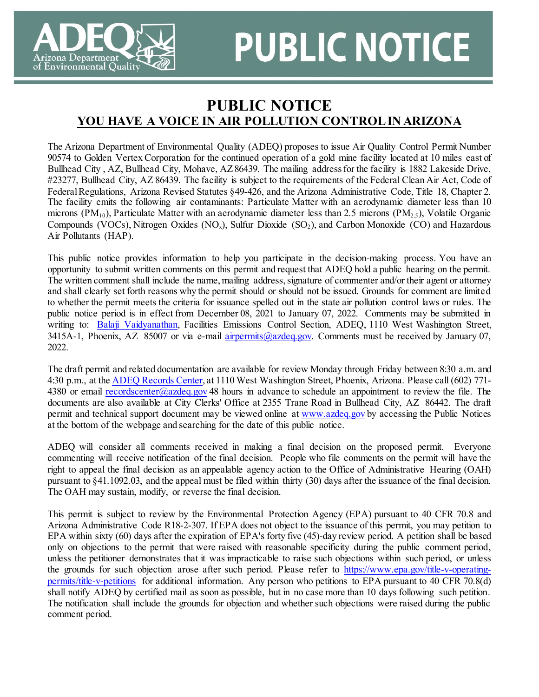

## **PUBLIC NOTICE**

## **PUBLIC NOTICE YOU HAVE A VOICE IN AIR POLLUTION CONTROL IN ARIZONA**

The Arizona Department of Environmental Quality (ADEQ) proposes to issue Air Quality Control Permit Number 90574 to Golden Vertex Corporation for the continued operation of a gold mine facility located at 10 miles east of Bullhead City , AZ, Bullhead City, Mohave, AZ86439. The mailing address for the facility is 1882 Lakeside Drive, #23277, Bullhead City, AZ 86439. The facility is subject to the requirements of the Federal Clean Air Act, Code of Federal Regulations, Arizona Revised Statutes §49-426, and the Arizona Administrative Code, Title 18, Chapter 2. The facility emits the following air contaminants: Particulate Matter with an aerodynamic diameter less than 10 microns (PM<sub>10</sub>), Particulate Matter with an aerodynamic diameter less than 2.5 microns (PM<sub>2.5</sub>), Volatile Organic Compounds (VOCs), Nitrogen Oxides (NO<sub>x</sub>), Sulfur Dioxide (SO<sub>2</sub>), and Carbon Monoxide (CO) and Hazardous Air Pollutants (HAP).

This public notice provides information to help you participate in the decision-making process. You have an opportunity to submit written comments on this permit and request that ADEQ hold a public hearing on the permit. The written comment shall include the name, mailing address, signature of commenter and/or their agent or attorney and shall clearly set forth reasons why the permit should or should not be issued. Grounds for comment are limited to whether the permit meets the criteria for issuance spelled out in the state air pollution control laws or rules. The public notice period is in effect from December 08, 2021 to January 07, 2022. Comments may be submitted in writing to: Balaji Vaidyanathan, Facilities Emissions Control Section, ADEQ, 1110 West Washington Street, 3415A-1, Phoenix, AZ 85007 or via e-mail airpermits@azdeq.gov. Comments must be received by January 07, 2022.

The draft permit and related documentation are available for review Monday through Friday between 8:30 a.m. and 4:30 p.m., at th[e ADEQ Records Center,](http://azdeq.gov/function/assistance/records.html) at 1110 West Washington Street, Phoenix, Arizona. Please call (602) 771 4380 or email [recordscenter@azdeq.gov](mailto:recordscenter@azdeq.gov) 48 hours in advance to schedule an appointment to review the file. The documents are also available at City Clerks' Office at 2355 Trane Road in Bullhead City, AZ 86442. The draft permit and technical support document may be viewed online at [www.azdeq.gov](http://www.azdeq.gov/) by accessing the Public Notices at the bottom of the webpage and searching for the date of this public notice.

ADEQ will consider all comments received in making a final decision on the proposed permit. Everyone commenting will receive notification of the final decision. People who file comments on the permit will have the right to appeal the final decision as an appealable agency action to the Office of Administrative Hearing (OAH) pursuant to §41.1092.03, and the appeal must be filed within thirty (30) days after the issuance of the final decision. The OAH may sustain, modify, or reverse the final decision.

This permit is subject to review by the Environmental Protection Agency (EPA) pursuant to 40 CFR 70.8 and Arizona Administrative Code R18-2-307. If EPA does not object to the issuance of this permit, you may petition to EPA within sixty (60) days after the expiration of EPA's forty five (45)-day review period. A petition shall be based only on objections to the permit that were raised with reasonable specificity during the public comment period, unless the petitioner demonstrates that it was impracticable to raise such objections within such period, or unless the grounds for such objection arose after such period. Please refer to [https://www.epa.gov/title-v-operating](https://www.epa.gov/title-v-operating-permits/title-v-petitions)[permits/title-v-petitions](https://www.epa.gov/title-v-operating-permits/title-v-petitions) for additional information. Any person who petitions to EPA pursuant to 40 CFR 70.8(d) shall notify ADEQ by certified mail as soon as possible, but in no case more than 10 days following such petition. The notification shall include the grounds for objection and whether such objections were raised during the public comment period.